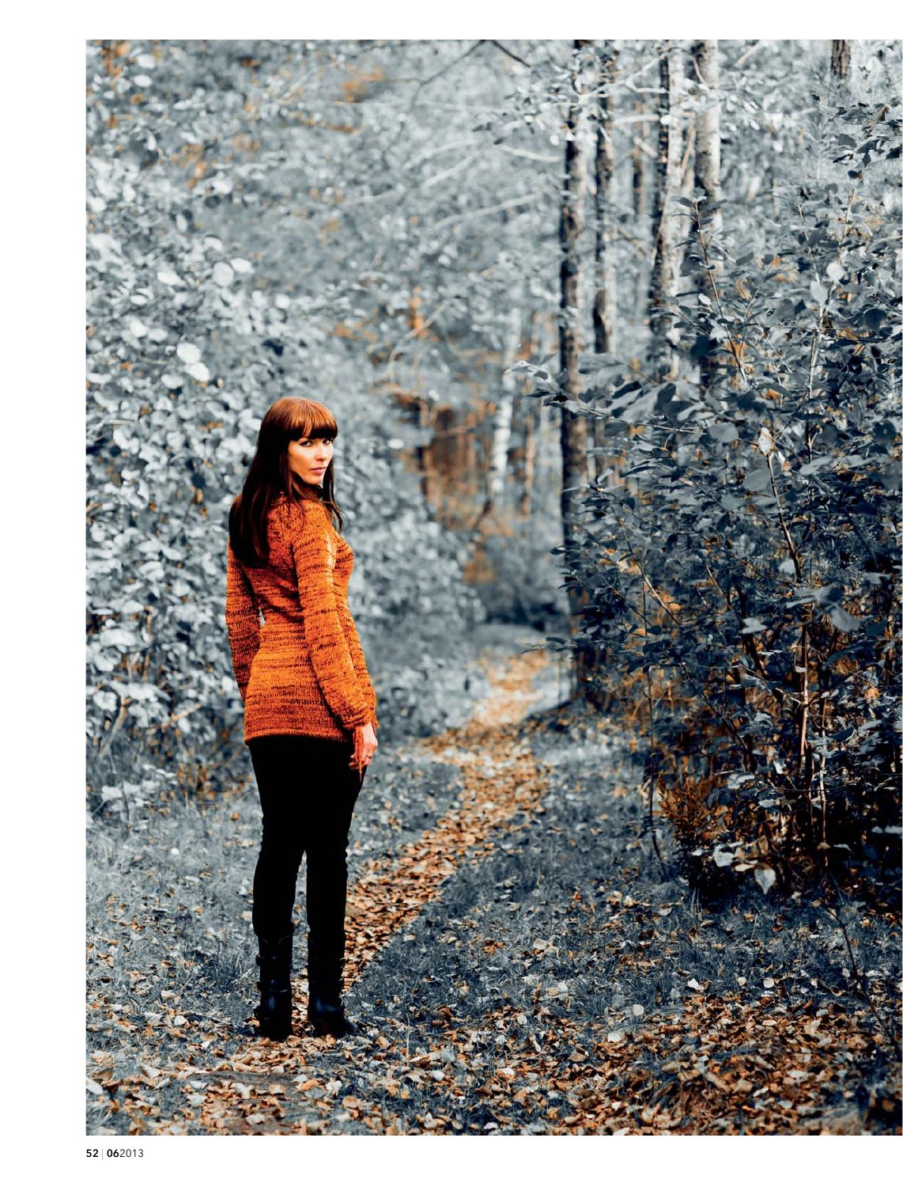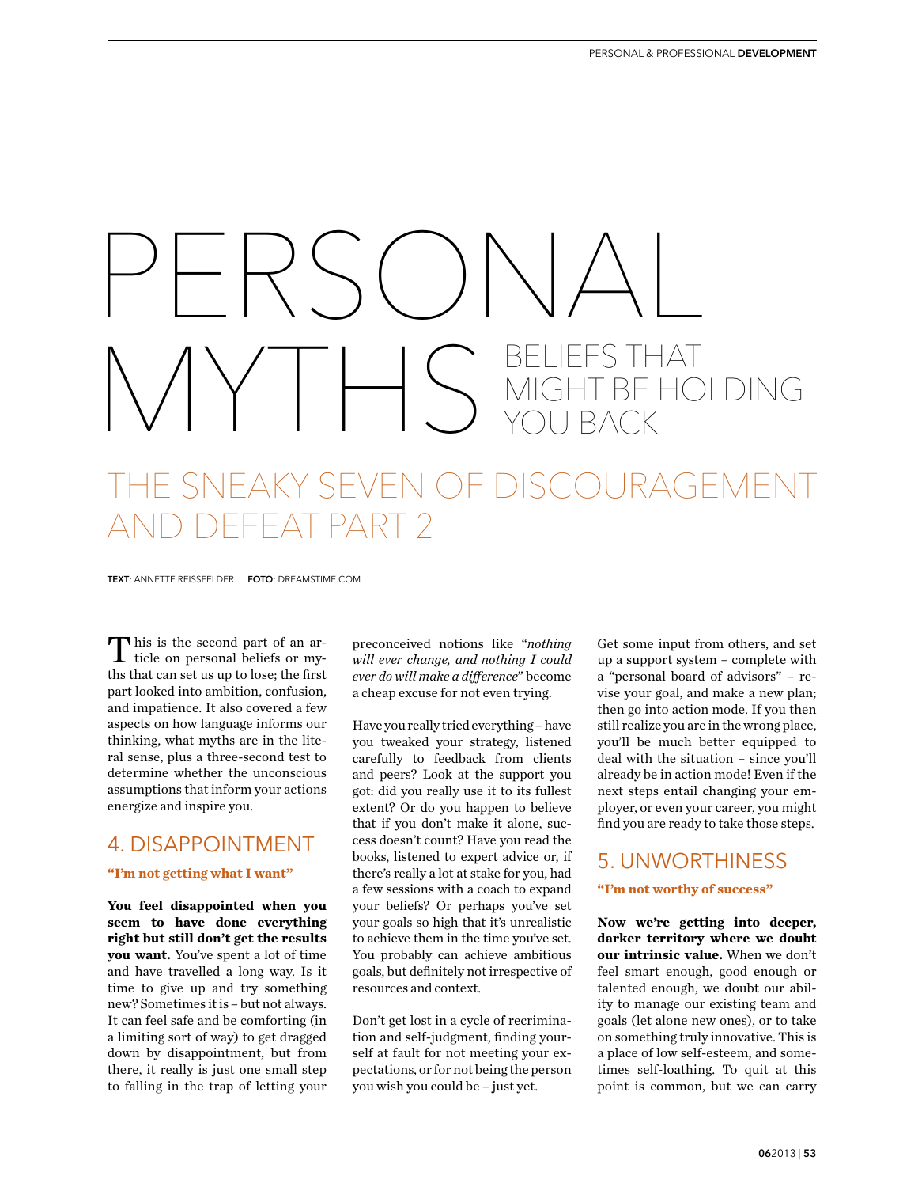# PERSONAL WITH S BELIEFS THAT MIGHT BE HOLDING YOU BACK

# NEAKY SEVEI FFAT PART 2

TEXT: ANNETTE REISSFELDER FOTO: DREAMSTIME.COM

This is the second part of an ar-ticle on personal beliefs or myths that can set us up to lose; the first part looked into ambition, confusion, and impatience. It also covered a few aspects on how language informs our thinking, what myths are in the literal sense, plus a three-second test to determine whether the unconscious assumptions that inform your actions energize and inspire you.

### 4. DISAPPOINTMENT

#### **"I'm not getting what I want"**

**You feel disappointed when you seem to have done everything right but still don't get the results you want.** You've spent a lot of time and have travelled a long way. Is it time to give up and try something new? Sometimes it is – but not always. It can feel safe and be comforting (in a limiting sort of way) to get dragged down by disappointment, but from there, it really is just one small step to falling in the trap of letting your preconceived notions like "*nothing will ever change, and nothing I could ever do will make a difference*" become a cheap excuse for not even trying.

Have you really tried everything – have you tweaked your strategy, listened carefully to feedback from clients and peers? Look at the support you got: did you really use it to its fullest extent? Or do you happen to believe that if you don't make it alone, success doesn't count? Have you read the books, listened to expert advice or, if there's really a lot at stake for you, had a few sessions with a coach to expand your beliefs? Or perhaps you've set your goals so high that it's unrealistic to achieve them in the time you've set. You probably can achieve ambitious goals, but definitely not irrespective of resources and context.

Don't get lost in a cycle of recrimination and self-judgment, finding yourself at fault for not meeting your expectations, or for not being the person you wish you could be – just yet.

Get some input from others, and set up a support system – complete with a "personal board of advisors" – revise your goal, and make a new plan; then go into action mode. If you then still realize you are in the wrong place, you'll be much better equipped to deal with the situation – since you'll already be in action mode! Even if the next steps entail changing your employer, or even your career, you might find you are ready to take those steps.

# 5. UNWORTHINESS

#### **"I'm not worthy of success"**

**Now we're getting into deeper, darker territory where we doubt our intrinsic value.** When we don't feel smart enough, good enough or talented enough, we doubt our ability to manage our existing team and goals (let alone new ones), or to take on something truly innovative. This is a place of low self-esteem, and sometimes self-loathing. To quit at this point is common, but we can carry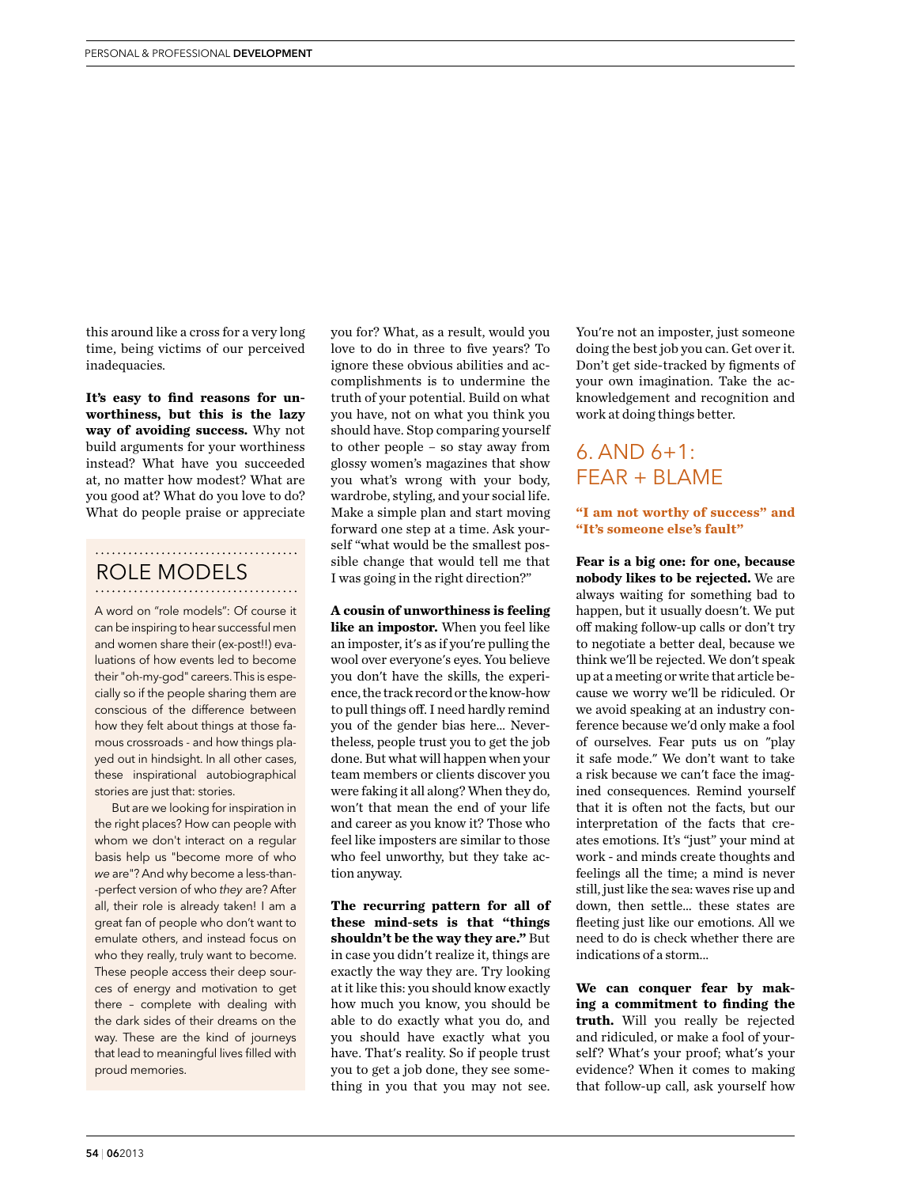this around like a cross for a very long time, being victims of our perceived inadequacies.

It's easy to find reasons for un**worthiness, but this is the lazy way of avoiding success.** Why not build arguments for your worthiness instead? What have you succeeded at, no matter how modest? What are you good at? What do you love to do? What do people praise or appreciate

# ROLE MODELS

A word on "role models": Of course it can be inspiring to hear successful men and women share their (ex-post!!) evaluations of how events led to become their "oh-my-god" careers. This is especially so if the people sharing them are conscious of the difference between how they felt about things at those famous crossroads - and how things played out in hindsight. In all other cases, these inspirational autobiographical stories are just that: stories.

But are we looking for inspiration in the right places? How can people with whom we don't interact on a regular basis help us "become more of who we are"? And why become a less-than- -perfect version of who they are? After all, their role is already taken! I am a great fan of people who don't want to emulate others, and instead focus on who they really, truly want to become. These people access their deep sources of energy and motivation to get there – complete with dealing with the dark sides of their dreams on the way. These are the kind of journeys that lead to meaningful lives filled with proud memories.

you for? What, as a result, would you love to do in three to five years? To ignore these obvious abilities and accomplishments is to undermine the truth of your potential. Build on what you have, not on what you think you should have. Stop comparing yourself to other people – so stay away from glossy women's magazines that show you what's wrong with your body, wardrobe, styling, and your social life. Make a simple plan and start moving forward one step at a time. Ask yourself "what would be the smallest possible change that would tell me that I was going in the right direction?"

**A cousin of unworthiness is feeling like an impostor.** When you feel like an imposter, it's as if you're pulling the wool over everyone's eyes. You believe you don't have the skills, the experience, the track record or the know-how to pull things off. I need hardly remind you of the gender bias here… Nevertheless, people trust you to get the job done. But what will happen when your team members or clients discover you were faking it all along? When they do, won't that mean the end of your life and career as you know it? Those who feel like imposters are similar to those who feel unworthy, but they take action anyway.

**The recurring pattern for all of these mind-sets is that "things shouldn't be the way they are."** But in case you didn't realize it, things are exactly the way they are. Try looking at it like this: you should know exactly how much you know, you should be able to do exactly what you do, and you should have exactly what you have. That's reality. So if people trust you to get a job done, they see something in you that you may not see.

You're not an imposter, just someone doing the best job you can. Get over it. Don't get side-tracked by figments of your own imagination. Take the acknowledgement and recognition and work at doing things better.

## 6. AND 6+1:  $FFAR + BIAMF$

### **"I am not worthy of success" and "It's someone else's fault"**

**Fear is a big one: for one, because nobody likes to be rejected.** We are always waiting for something bad to happen, but it usually doesn't. We put off making follow-up calls or don't try to negotiate a better deal, because we think we'll be rejected. We don't speak up at a meeting or write that article because we worry we'll be ridiculed. Or we avoid speaking at an industry conference because we'd only make a fool of ourselves. Fear puts us on "play it safe mode." We don't want to take a risk because we can't face the imagined consequences. Remind yourself that it is often not the facts, but our interpretation of the facts that creates emotions. It's "just" your mind at work - and minds create thoughts and feelings all the time; a mind is never still, just like the sea: waves rise up and down, then settle... these states are fleeting just like our emotions. All we need to do is check whether there are indications of a storm...

**We can conquer fear by mak**ing a commitment to finding the **truth.** Will you really be rejected and ridiculed, or make a fool of yourself? What's your proof; what's your evidence? When it comes to making that follow-up call, ask yourself how